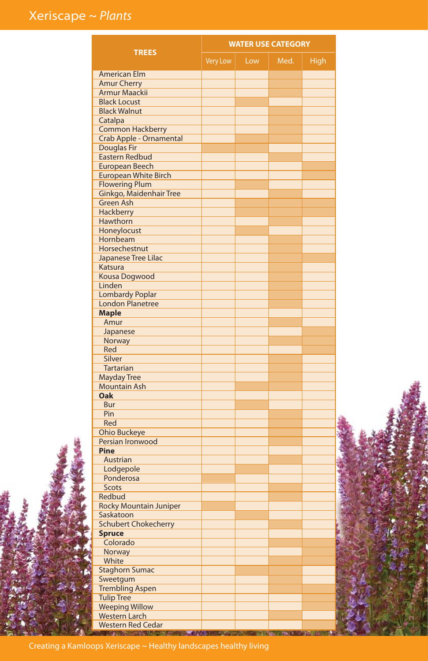|                                                |                 |     | <b>WATER USE CATEGORY</b> |             |  |
|------------------------------------------------|-----------------|-----|---------------------------|-------------|--|
| <b>TREES</b>                                   | <b>Very Low</b> | Low | Med.                      | <b>High</b> |  |
| <b>American Elm</b>                            |                 |     |                           |             |  |
| <b>Amur Cherry</b>                             |                 |     |                           |             |  |
| Armur Maackii                                  |                 |     |                           |             |  |
| <b>Black Locust</b>                            |                 |     |                           |             |  |
| <b>Black Walnut</b>                            |                 |     |                           |             |  |
| Catalpa                                        |                 |     |                           |             |  |
| <b>Common Hackberry</b>                        |                 |     |                           |             |  |
| Crab Apple - Ornamental                        |                 |     |                           |             |  |
| <b>Douglas Fir</b>                             |                 |     |                           |             |  |
| <b>Eastern Redbud</b><br><b>European Beech</b> |                 |     |                           |             |  |
| <b>European White Birch</b>                    |                 |     |                           |             |  |
| <b>Flowering Plum</b>                          |                 |     |                           |             |  |
| Ginkgo, Maidenhair Tree                        |                 |     |                           |             |  |
| <b>Green Ash</b>                               |                 |     |                           |             |  |
| Hackberry                                      |                 |     |                           |             |  |
| Hawthorn                                       |                 |     |                           |             |  |
| Honeylocust                                    |                 |     |                           |             |  |
| Hornbeam                                       |                 |     |                           |             |  |
| Horsechestnut                                  |                 |     |                           |             |  |
| Japanese Tree Lilac                            |                 |     |                           |             |  |
| Katsura                                        |                 |     |                           |             |  |
| <b>Kousa Dogwood</b>                           |                 |     |                           |             |  |
| Linden                                         |                 |     |                           |             |  |
| <b>Lombardy Poplar</b>                         |                 |     |                           |             |  |
| <b>London Planetree</b>                        |                 |     |                           |             |  |
| <b>Maple</b>                                   |                 |     |                           |             |  |
| Amur                                           |                 |     |                           |             |  |
| Japanese<br>Norway                             |                 |     |                           |             |  |
| Red                                            |                 |     |                           |             |  |
| Silver                                         |                 |     |                           |             |  |
| <b>Tartarian</b>                               |                 |     |                           |             |  |
| <b>Mayday Tree</b>                             |                 |     |                           |             |  |
| <b>Mountain Ash</b>                            |                 |     |                           |             |  |
| Oak                                            |                 |     |                           |             |  |
| Bur                                            |                 |     |                           |             |  |
| Pin                                            |                 |     |                           |             |  |
| Red                                            |                 |     |                           |             |  |
| <b>Ohio Buckeye</b>                            |                 |     |                           |             |  |
| Persian Ironwood                               |                 |     |                           |             |  |
| Pine                                           |                 |     |                           |             |  |
| Austrian                                       |                 |     |                           |             |  |
| Lodgepole                                      |                 |     |                           |             |  |
| Ponderosa<br>Scots                             |                 |     |                           |             |  |
| Redbud                                         |                 |     |                           |             |  |
| <b>Rocky Mountain Juniper</b>                  |                 |     |                           |             |  |
| Saskatoon                                      |                 |     |                           |             |  |
| <b>Schubert Chokecherry</b>                    |                 |     |                           |             |  |
| <b>Spruce</b>                                  |                 |     |                           |             |  |
| Colorado                                       |                 |     |                           |             |  |
| Norway                                         |                 |     |                           |             |  |
| White                                          |                 |     |                           |             |  |
| <b>Staghorn Sumac</b>                          |                 |     |                           |             |  |
| Sweetgum                                       |                 |     |                           |             |  |
| <b>Trembling Aspen</b>                         |                 |     |                           |             |  |
| <b>Tulip Tree</b>                              |                 |     |                           |             |  |
| <b>Weeping Willow</b>                          |                 |     |                           |             |  |
| <b>Western Larch</b>                           |                 |     |                           |             |  |
| <b>Western Red Cedar</b>                       |                 |     |                           |             |  |

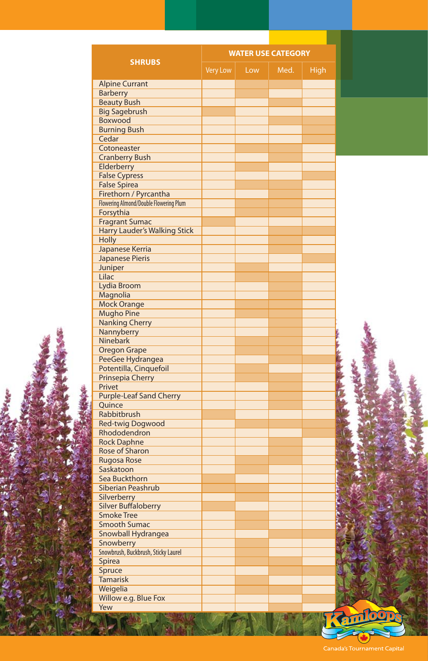|                                                     |          |     | <b>WATER USE CATEGORY</b> |             |         |
|-----------------------------------------------------|----------|-----|---------------------------|-------------|---------|
| <b>SHRUBS</b>                                       | Very Low | Low | Med.                      | <b>High</b> |         |
| <b>Alpine Currant</b>                               |          |     |                           |             |         |
| <b>Barberry</b>                                     |          |     |                           |             |         |
| <b>Beauty Bush</b>                                  |          |     |                           |             |         |
| <b>Big Sagebrush</b>                                |          |     |                           |             |         |
| Boxwood<br><b>Burning Bush</b>                      |          |     |                           |             |         |
| Cedar                                               |          |     |                           |             |         |
| Cotoneaster                                         |          |     |                           |             |         |
| <b>Cranberry Bush</b>                               |          |     |                           |             |         |
| Elderberry                                          |          |     |                           |             |         |
| <b>False Cypress</b>                                |          |     |                           |             |         |
| <b>False Spirea</b>                                 |          |     |                           |             |         |
| Firethorn / Pyrcantha                               |          |     |                           |             |         |
| Flowering Almond/Double Flowering Plum<br>Forsythia |          |     |                           |             |         |
| <b>Fragrant Sumac</b>                               |          |     |                           |             |         |
| <b>Harry Lauder's Walking Stick</b>                 |          |     |                           |             |         |
| <b>Holly</b>                                        |          |     |                           |             |         |
| Japanese Kerria                                     |          |     |                           |             |         |
| <b>Japanese Pieris</b>                              |          |     |                           |             |         |
| Juniper                                             |          |     |                           |             |         |
| Lilac                                               |          |     |                           |             |         |
| Lydia Broom                                         |          |     |                           |             |         |
| Magnolia                                            |          |     |                           |             |         |
| <b>Mock Orange</b>                                  |          |     |                           |             |         |
| <b>Mugho Pine</b>                                   |          |     |                           |             |         |
| <b>Nanking Cherry</b>                               |          |     |                           |             |         |
| Nannyberry                                          |          |     |                           |             |         |
| <b>Ninebark</b><br><b>Oregon Grape</b>              |          |     |                           |             |         |
| PeeGee Hydrangea                                    |          |     |                           |             |         |
| Potentilla, Cinquefoil                              |          |     |                           |             |         |
| Prinsepia Cherry                                    |          |     |                           |             |         |
| Privet                                              |          |     |                           |             |         |
| <b>Purple-Leaf Sand Cherry</b>                      |          |     |                           |             |         |
| Quince                                              |          |     |                           |             |         |
| Rabbitbrush                                         |          |     |                           |             |         |
| <b>Red-twig Dogwood</b>                             |          |     |                           |             |         |
| Rhododendron                                        |          |     |                           |             |         |
| <b>Rock Daphne</b>                                  |          |     |                           |             |         |
| Rose of Sharon                                      |          |     |                           |             |         |
| Rugosa Rose<br>Saskatoon                            |          |     |                           |             |         |
| Sea Buckthorn                                       |          |     |                           |             |         |
| Siberian Peashrub                                   |          |     |                           |             |         |
| Silverberry                                         |          |     |                           |             |         |
| <b>Silver Buffaloberry</b>                          |          |     |                           |             |         |
| <b>Smoke Tree</b>                                   |          |     |                           |             |         |
| <b>Smooth Sumac</b>                                 |          |     |                           |             |         |
| Snowball Hydrangea                                  |          |     |                           |             |         |
| Snowberry                                           |          |     |                           |             |         |
| Snowbrush, Buckbrush, Sticky Laurel                 |          |     |                           |             |         |
| Spirea                                              |          |     |                           |             |         |
| Spruce                                              |          |     |                           |             |         |
| <b>Tamarisk</b>                                     |          |     |                           |             |         |
| Weigelia                                            |          |     |                           |             |         |
| Willow e.g. Blue Fox                                |          |     |                           |             |         |
| Yew                                                 |          |     |                           |             | Aniloop |

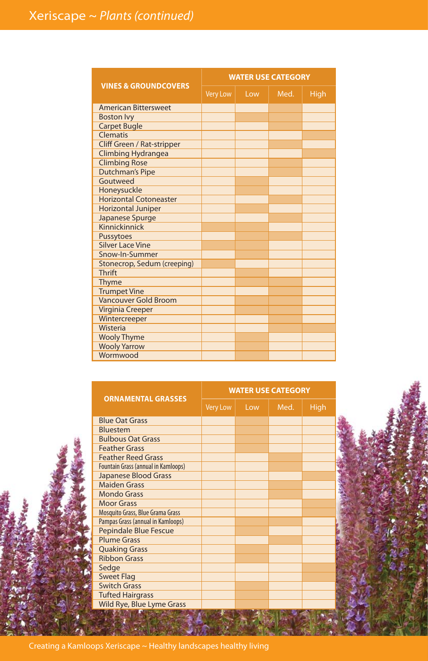|                                 | <b>WATER USE CATEGORY</b> |     |      |      |  |
|---------------------------------|---------------------------|-----|------|------|--|
| <b>VINES &amp; GROUNDCOVERS</b> | <b>Very Low</b>           | Low | Med. | High |  |
| <b>American Bittersweet</b>     |                           |     |      |      |  |
| <b>Boston Ivy</b>               |                           |     |      |      |  |
| <b>Carpet Bugle</b>             |                           |     |      |      |  |
| Clematis                        |                           |     |      |      |  |
| Cliff Green / Rat-stripper      |                           |     |      |      |  |
| <b>Climbing Hydrangea</b>       |                           |     |      |      |  |
| <b>Climbing Rose</b>            |                           |     |      |      |  |
| <b>Dutchman's Pipe</b>          |                           |     |      |      |  |
| Goutweed                        |                           |     |      |      |  |
| Honeysuckle                     |                           |     |      |      |  |
| <b>Horizontal Cotoneaster</b>   |                           |     |      |      |  |
| <b>Horizontal Juniper</b>       |                           |     |      |      |  |
| Japanese Spurge                 |                           |     |      |      |  |
| Kinnickinnick                   |                           |     |      |      |  |
| <b>Pussytoes</b>                |                           |     |      |      |  |
| <b>Silver Lace Vine</b>         |                           |     |      |      |  |
| Snow-In-Summer                  |                           |     |      |      |  |
| Stonecrop, Sedum (creeping)     |                           |     |      |      |  |
| <b>Thrift</b>                   |                           |     |      |      |  |
| Thyme                           |                           |     |      |      |  |
| <b>Trumpet Vine</b>             |                           |     |      |      |  |
| Vancouver Gold Broom            |                           |     |      |      |  |
| Virginia Creeper                |                           |     |      |      |  |
| Wintercreeper                   |                           |     |      |      |  |
| Wisteria                        |                           |     |      |      |  |
| <b>Wooly Thyme</b>              |                           |     |      |      |  |
| <b>Wooly Yarrow</b>             |                           |     |      |      |  |
| Wormwood                        |                           |     |      |      |  |



|                                            | <b>WATER USE CATEGORY</b> |     |      |      |  |
|--------------------------------------------|---------------------------|-----|------|------|--|
| <b>ORNAMENTAL GRASSES</b>                  | <b>Very Low</b>           | Low | Med. | High |  |
| <b>Blue Oat Grass</b>                      |                           |     |      |      |  |
| Bluestem                                   |                           |     |      |      |  |
| <b>Bulbous Oat Grass</b>                   |                           |     |      |      |  |
| <b>Feather Grass</b>                       |                           |     |      |      |  |
| <b>Feather Reed Grass</b>                  |                           |     |      |      |  |
| <b>Fountain Grass (annual in Kamloops)</b> |                           |     |      |      |  |
| Japanese Blood Grass                       |                           |     |      |      |  |
| <b>Maiden Grass</b>                        |                           |     |      |      |  |
| <b>Mondo Grass</b>                         |                           |     |      |      |  |
| <b>Moor Grass</b>                          |                           |     |      |      |  |
| Mosquito Grass, Blue Grama Grass           |                           |     |      |      |  |
| Pampas Grass (annual in Kamloops)          |                           |     |      |      |  |
| <b>Pepindale Blue Fescue</b>               |                           |     |      |      |  |
| <b>Plume Grass</b>                         |                           |     |      |      |  |
| <b>Quaking Grass</b>                       |                           |     |      |      |  |
| <b>Ribbon Grass</b>                        |                           |     |      |      |  |
| Sedge                                      |                           |     |      |      |  |
| <b>Sweet Flag</b>                          |                           |     |      |      |  |
| <b>Switch Grass</b>                        |                           |     |      |      |  |
| <b>Tufted Hairgrass</b>                    |                           |     |      |      |  |
| Wild Rye, Blue Lyme Grass                  |                           |     |      |      |  |
|                                            |                           |     |      |      |  |

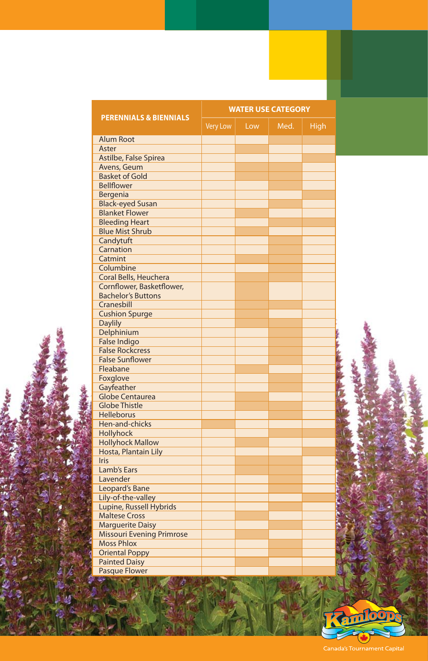|                                                  |          |     | <b>WATER USE CATEGORY</b> |      |  |
|--------------------------------------------------|----------|-----|---------------------------|------|--|
| <b>PERENNIALS &amp; BIENNIALS</b>                | Very Low | Low | Med.                      | High |  |
| <b>Alum Root</b>                                 |          |     |                           |      |  |
| Aster                                            |          |     |                           |      |  |
| Astilbe, False Spirea                            |          |     |                           |      |  |
| Avens, Geum                                      |          |     |                           |      |  |
| <b>Basket of Gold</b>                            |          |     |                           |      |  |
| <b>Bellflower</b>                                |          |     |                           |      |  |
| Bergenia                                         |          |     |                           |      |  |
| <b>Black-eyed Susan</b>                          |          |     |                           |      |  |
| <b>Blanket Flower</b>                            |          |     |                           |      |  |
| <b>Bleeding Heart</b>                            |          |     |                           |      |  |
| <b>Blue Mist Shrub</b>                           |          |     |                           |      |  |
| Candytuft                                        |          |     |                           |      |  |
| Carnation                                        |          |     |                           |      |  |
| Catmint                                          |          |     |                           |      |  |
| Columbine                                        |          |     |                           |      |  |
| Coral Bells, Heuchera                            |          |     |                           |      |  |
| Cornflower, Basketflower,                        |          |     |                           |      |  |
| <b>Bachelor's Buttons</b>                        |          |     |                           |      |  |
| Cranesbill                                       |          |     |                           |      |  |
| <b>Cushion Spurge</b>                            |          |     |                           |      |  |
| <b>Daylily</b>                                   |          |     |                           |      |  |
| Delphinium                                       |          |     |                           |      |  |
| <b>False Indigo</b>                              |          |     |                           |      |  |
| <b>False Rockcress</b><br><b>False Sunflower</b> |          |     |                           |      |  |
|                                                  |          |     |                           |      |  |
| Fleabane                                         |          |     |                           |      |  |
| Foxglove<br>Gayfeather                           |          |     |                           |      |  |
| <b>Globe Centaurea</b>                           |          |     |                           |      |  |
| <b>Globe Thistle</b>                             |          |     |                           |      |  |
| <b>Helleborus</b>                                |          |     |                           |      |  |
| Hen-and-chicks                                   |          |     |                           |      |  |
| Hollyhock                                        |          |     |                           |      |  |
| <b>Hollyhock Mallow</b>                          |          |     |                           |      |  |
| Hosta, Plantain Lily                             |          |     |                           |      |  |
| <b>Iris</b>                                      |          |     |                           |      |  |
| Lamb's Ears                                      |          |     |                           |      |  |
| Lavender                                         |          |     |                           |      |  |
| Leopard's Bane                                   |          |     |                           |      |  |
| Lily-of-the-valley                               |          |     |                           |      |  |
| Lupine, Russell Hybrids                          |          |     |                           |      |  |
| <b>Maltese Cross</b>                             |          |     |                           |      |  |
| <b>Marguerite Daisy</b>                          |          |     |                           |      |  |
| <b>Missouri Evening Primrose</b>                 |          |     |                           |      |  |
| <b>Moss Phlox</b>                                |          |     |                           |      |  |
| <b>Oriental Poppy</b>                            |          |     |                           |      |  |
| <b>Painted Daisy</b>                             |          |     |                           |      |  |
| <b>Pasque Flower</b>                             |          |     |                           |      |  |
|                                                  |          |     |                           |      |  |

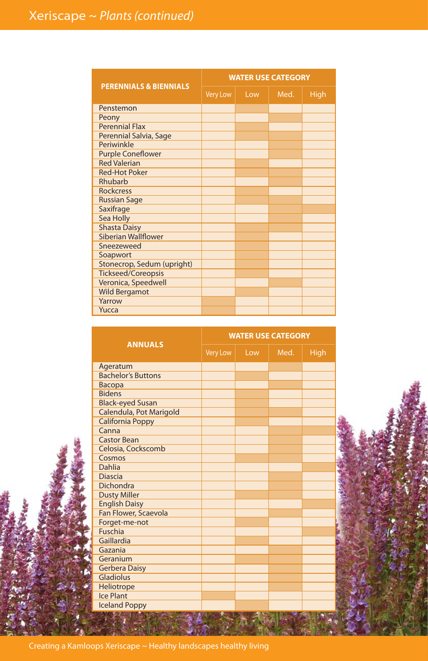|                                   |                 |     | <b>WATER USE CATEGORY</b> |             |
|-----------------------------------|-----------------|-----|---------------------------|-------------|
| <b>PERENNIALS &amp; BIENNIALS</b> | <b>Very Low</b> | Low | Med.                      | <b>High</b> |
| Penstemon                         |                 |     |                           |             |
| Peony                             |                 |     |                           |             |
| <b>Perennial Flax</b>             |                 |     |                           |             |
| Perennial Salvia, Sage            |                 |     |                           |             |
| Periwinkle                        |                 |     |                           |             |
| <b>Purple Coneflower</b>          |                 |     |                           |             |
| <b>Red Valerian</b>               |                 |     |                           |             |
| <b>Red-Hot Poker</b>              |                 |     |                           |             |
| Rhubarb                           |                 |     |                           |             |
| <b>Rockcress</b>                  |                 |     |                           |             |
| <b>Russian Sage</b>               |                 |     |                           |             |
| Saxifrage                         |                 |     |                           |             |
| Sea Holly                         |                 |     |                           |             |
| <b>Shasta Daisy</b>               |                 |     |                           |             |
| <b>Siberian Wallflower</b>        |                 |     |                           |             |
| Sneezeweed                        |                 |     |                           |             |
| Soapwort                          |                 |     |                           |             |
| Stonecrop, Sedum (upright)        |                 |     |                           |             |
| <b>Tickseed/Coreopsis</b>         |                 |     |                           |             |
| Veronica, Speedwell               |                 |     |                           |             |
| <b>Wild Bergamot</b>              |                 |     |                           |             |
| Yarrow                            |                 |     |                           |             |
| Yucca                             |                 |     |                           |             |

|                           | <b>WATER USE CATEGORY</b> |     |      |      |  |
|---------------------------|---------------------------|-----|------|------|--|
| <b>ANNUALS</b>            | Very Low                  | Low | Med. | High |  |
| Ageratum                  |                           |     |      |      |  |
| <b>Bachelor's Buttons</b> |                           |     |      |      |  |
| Bacopa                    |                           |     |      |      |  |
| <b>Bidens</b>             |                           |     |      |      |  |
| <b>Black-eyed Susan</b>   |                           |     |      |      |  |
| Calendula, Pot Marigold   |                           |     |      |      |  |
| <b>California Poppy</b>   |                           |     |      |      |  |
| Canna                     |                           |     |      |      |  |
| <b>Castor Bean</b>        |                           |     |      |      |  |
| Celosia, Cockscomb        |                           |     |      |      |  |
| Cosmos                    |                           |     |      |      |  |
| Dahlia                    |                           |     |      |      |  |
| <b>Diascia</b>            |                           |     |      |      |  |
| Dichondra                 |                           |     |      |      |  |
| <b>Dusty Miller</b>       |                           |     |      |      |  |
| <b>English Daisy</b>      |                           |     |      |      |  |
| Fan Flower, Scaevola      |                           |     |      |      |  |
| Forget-me-not             |                           |     |      |      |  |
| Fuschia                   |                           |     |      |      |  |
| Gaillardia                |                           |     |      |      |  |
| Gazania                   |                           |     |      |      |  |
| Geranium                  |                           |     |      |      |  |
| <b>Gerbera Daisy</b>      |                           |     |      |      |  |
| Gladiolus                 |                           |     |      |      |  |
| Heliotrope                |                           |     |      |      |  |
| Ice Plant                 |                           |     |      |      |  |
| <b>Iceland Poppy</b>      |                           |     |      |      |  |
| 197.61                    |                           |     |      |      |  |